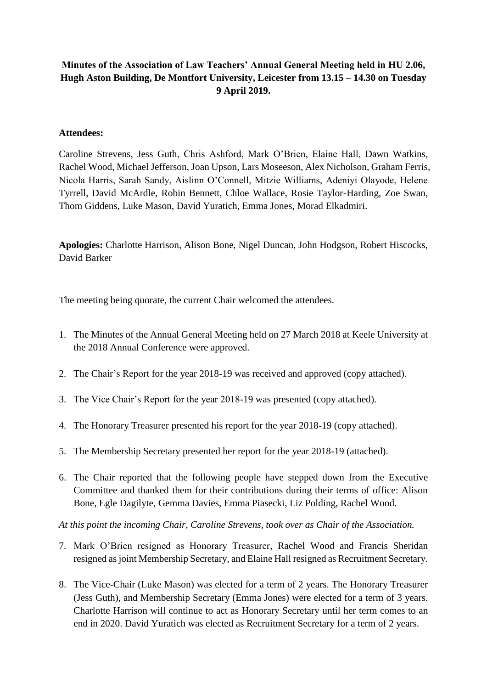# **Minutes of the Association of Law Teachers' Annual General Meeting held in HU 2.06, Hugh Aston Building, De Montfort University, Leicester from 13.15 – 14.30 on Tuesday 9 April 2019.**

## **Attendees:**

Caroline Strevens, Jess Guth, Chris Ashford, Mark O'Brien, Elaine Hall, Dawn Watkins, Rachel Wood, Michael Jefferson, Joan Upson, Lars Moseeson, Alex Nicholson, Graham Ferris, Nicola Harris, Sarah Sandy, Aislinn O'Connell, Mitzie Williams, Adeniyi Olayode, Helene Tyrrell, David McArdle, Robin Bennett, Chloe Wallace, Rosie Taylor-Harding, Zoe Swan, Thom Giddens, Luke Mason, David Yuratich, Emma Jones, Morad Elkadmiri.

**Apologies:** Charlotte Harrison, Alison Bone, Nigel Duncan, John Hodgson, Robert Hiscocks, David Barker

The meeting being quorate, the current Chair welcomed the attendees.

- 1. The Minutes of the Annual General Meeting held on 27 March 2018 at Keele University at the 2018 Annual Conference were approved.
- 2. The Chair's Report for the year 2018-19 was received and approved (copy attached).
- 3. The Vice Chair's Report for the year 2018-19 was presented (copy attached).
- 4. The Honorary Treasurer presented his report for the year 2018-19 (copy attached).
- 5. The Membership Secretary presented her report for the year 2018-19 (attached).
- 6. The Chair reported that the following people have stepped down from the Executive Committee and thanked them for their contributions during their terms of office: Alison Bone, Egle Dagilyte, Gemma Davies, Emma Piasecki, Liz Polding, Rachel Wood.

*At this point the incoming Chair, Caroline Strevens, took over as Chair of the Association.* 

- 7. Mark O'Brien resigned as Honorary Treasurer, Rachel Wood and Francis Sheridan resigned as joint Membership Secretary, and Elaine Hall resigned as Recruitment Secretary.
- 8. The Vice-Chair (Luke Mason) was elected for a term of 2 years. The Honorary Treasurer (Jess Guth), and Membership Secretary (Emma Jones) were elected for a term of 3 years. Charlotte Harrison will continue to act as Honorary Secretary until her term comes to an end in 2020. David Yuratich was elected as Recruitment Secretary for a term of 2 years.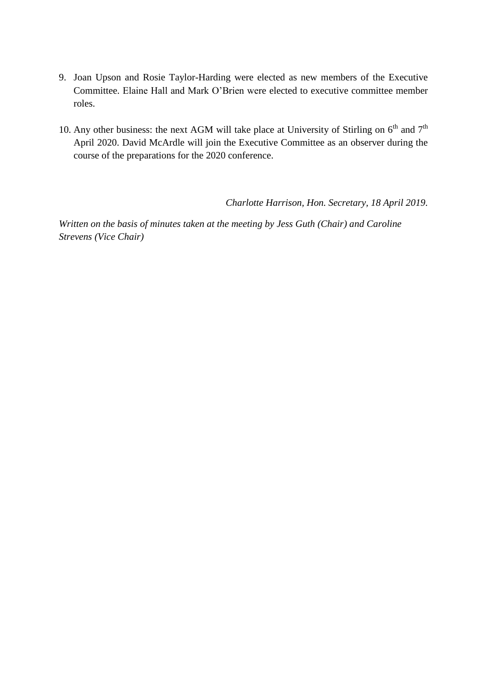- 9. Joan Upson and Rosie Taylor-Harding were elected as new members of the Executive Committee. Elaine Hall and Mark O'Brien were elected to executive committee member roles.
- 10. Any other business: the next AGM will take place at University of Stirling on  $6<sup>th</sup>$  and  $7<sup>th</sup>$ April 2020. David McArdle will join the Executive Committee as an observer during the course of the preparations for the 2020 conference.

*Charlotte Harrison, Hon. Secretary, 18 April 2019.*

*Written on the basis of minutes taken at the meeting by Jess Guth (Chair) and Caroline Strevens (Vice Chair)*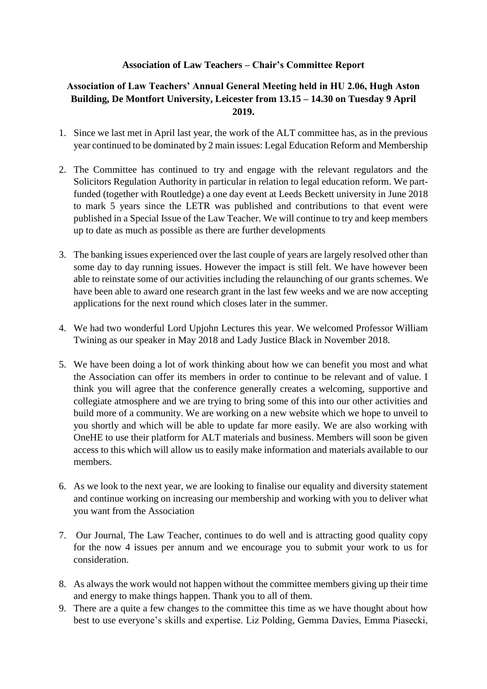## **Association of Law Teachers – Chair's Committee Report**

# **Association of Law Teachers' Annual General Meeting held in HU 2.06, Hugh Aston Building, De Montfort University, Leicester from 13.15 – 14.30 on Tuesday 9 April 2019.**

- 1. Since we last met in April last year, the work of the ALT committee has, as in the previous year continued to be dominated by 2 main issues: Legal Education Reform and Membership
- 2. The Committee has continued to try and engage with the relevant regulators and the Solicitors Regulation Authority in particular in relation to legal education reform. We partfunded (together with Routledge) a one day event at Leeds Beckett university in June 2018 to mark 5 years since the LETR was published and contributions to that event were published in a Special Issue of the Law Teacher. We will continue to try and keep members up to date as much as possible as there are further developments
- 3. The banking issues experienced over the last couple of years are largely resolved other than some day to day running issues. However the impact is still felt. We have however been able to reinstate some of our activities including the relaunching of our grants schemes. We have been able to award one research grant in the last few weeks and we are now accepting applications for the next round which closes later in the summer.
- 4. We had two wonderful Lord Upjohn Lectures this year. We welcomed Professor William Twining as our speaker in May 2018 and Lady Justice Black in November 2018.
- 5. We have been doing a lot of work thinking about how we can benefit you most and what the Association can offer its members in order to continue to be relevant and of value. I think you will agree that the conference generally creates a welcoming, supportive and collegiate atmosphere and we are trying to bring some of this into our other activities and build more of a community. We are working on a new website which we hope to unveil to you shortly and which will be able to update far more easily. We are also working with OneHE to use their platform for ALT materials and business. Members will soon be given access to this which will allow us to easily make information and materials available to our members.
- 6. As we look to the next year, we are looking to finalise our equality and diversity statement and continue working on increasing our membership and working with you to deliver what you want from the Association
- 7. Our Journal, The Law Teacher, continues to do well and is attracting good quality copy for the now 4 issues per annum and we encourage you to submit your work to us for consideration.
- 8. As always the work would not happen without the committee members giving up their time and energy to make things happen. Thank you to all of them.
- 9. There are a quite a few changes to the committee this time as we have thought about how best to use everyone's skills and expertise. Liz Polding, Gemma Davies, Emma Piasecki,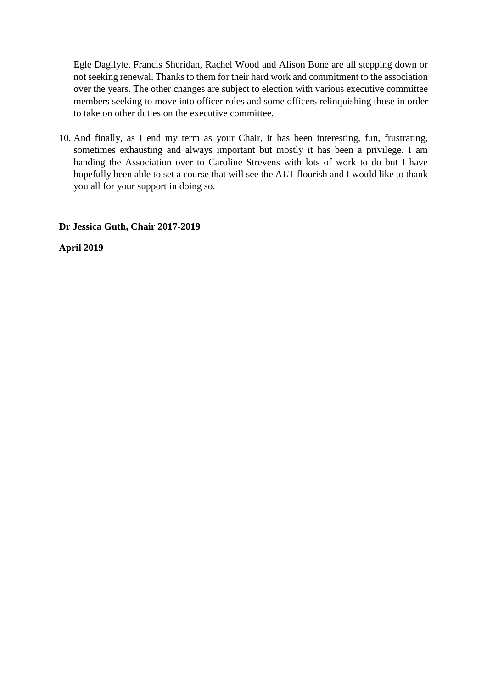Egle Dagilyte, Francis Sheridan, Rachel Wood and Alison Bone are all stepping down or not seeking renewal. Thanks to them for their hard work and commitment to the association over the years. The other changes are subject to election with various executive committee members seeking to move into officer roles and some officers relinquishing those in order to take on other duties on the executive committee.

10. And finally, as I end my term as your Chair, it has been interesting, fun, frustrating, sometimes exhausting and always important but mostly it has been a privilege. I am handing the Association over to Caroline Strevens with lots of work to do but I have hopefully been able to set a course that will see the ALT flourish and I would like to thank you all for your support in doing so.

**Dr Jessica Guth, Chair 2017-2019**

**April 2019**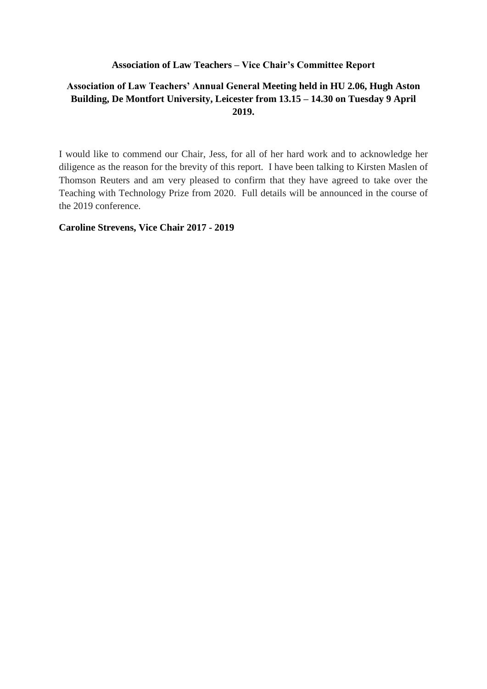## **Association of Law Teachers – Vice Chair's Committee Report**

# **Association of Law Teachers' Annual General Meeting held in HU 2.06, Hugh Aston Building, De Montfort University, Leicester from 13.15 – 14.30 on Tuesday 9 April 2019.**

I would like to commend our Chair, Jess, for all of her hard work and to acknowledge her diligence as the reason for the brevity of this report. I have been talking to Kirsten Maslen of Thomson Reuters and am very pleased to confirm that they have agreed to take over the Teaching with Technology Prize from 2020. Full details will be announced in the course of the 2019 conference.

**Caroline Strevens, Vice Chair 2017 - 2019**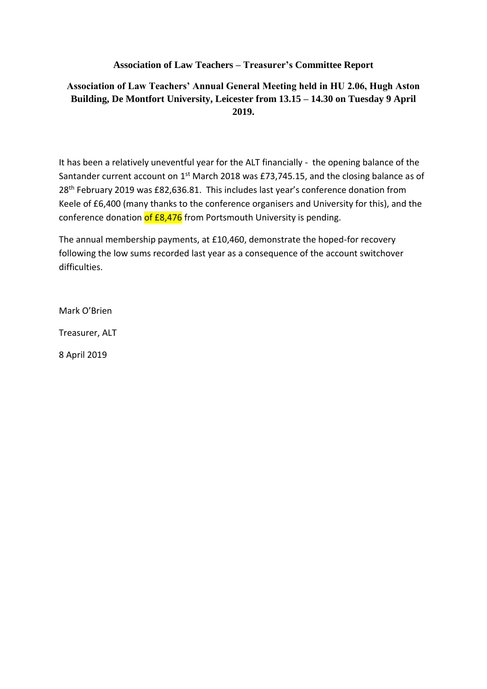# **Association of Law Teachers – Treasurer's Committee Report**

# **Association of Law Teachers' Annual General Meeting held in HU 2.06, Hugh Aston Building, De Montfort University, Leicester from 13.15 – 14.30 on Tuesday 9 April 2019.**

It has been a relatively uneventful year for the ALT financially - the opening balance of the Santander current account on 1<sup>st</sup> March 2018 was £73,745.15, and the closing balance as of 28<sup>th</sup> February 2019 was £82,636.81. This includes last year's conference donation from Keele of £6,400 (many thanks to the conference organisers and University for this), and the conference donation of £8,476 from Portsmouth University is pending.

The annual membership payments, at £10,460, demonstrate the hoped-for recovery following the low sums recorded last year as a consequence of the account switchover difficulties.

Mark O'Brien

Treasurer, ALT

8 April 2019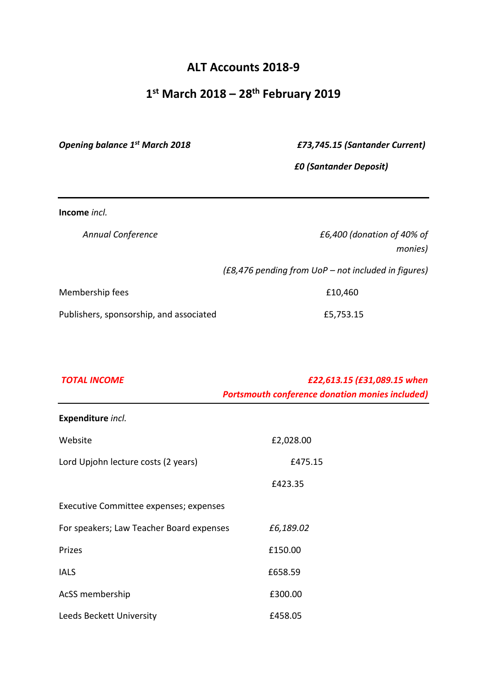# **ALT Accounts 2018-9**

# **1 st March 2018 – 28th February 2019**

*Opening balance 1st March 2018 £73,745.15 (Santander Current)*

*£0 (Santander Deposit)*

**Income** *incl.*

| <b>Annual Conference</b>                | £6,400 (donation of 40% of                          |
|-----------------------------------------|-----------------------------------------------------|
|                                         | monies)                                             |
|                                         | (£8,476 pending from UoP – not included in figures) |
| Membership fees                         | £10,460                                             |
| Publishers, sponsorship, and associated | £5,753.15                                           |

| <b>TOTAL INCOME</b>                      | £22,613.15 (£31,089.15 when<br><b>Portsmouth conference donation monies included)</b> |
|------------------------------------------|---------------------------------------------------------------------------------------|
| Expenditure incl.                        |                                                                                       |
| Website                                  | £2,028.00                                                                             |
| Lord Upjohn lecture costs (2 years)      | £475.15                                                                               |
|                                          | £423.35                                                                               |
| Executive Committee expenses; expenses   |                                                                                       |
| For speakers; Law Teacher Board expenses | £6,189.02                                                                             |
| Prizes                                   | £150.00                                                                               |
| <b>IALS</b>                              | £658.59                                                                               |
| AcSS membership                          | £300.00                                                                               |
| Leeds Beckett University                 | £458.05                                                                               |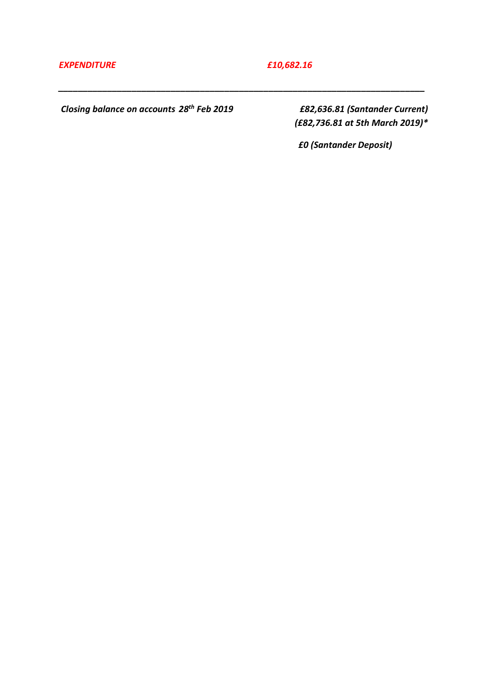## *EXPENDITURE £10,682.16*

*\_\_\_\_\_\_\_\_\_\_\_\_\_\_\_\_\_\_\_\_\_\_\_\_\_\_\_\_\_\_\_\_\_\_\_\_\_\_\_\_\_\_\_\_\_\_\_\_\_\_\_\_\_\_\_\_\_\_\_\_\_\_\_\_\_\_\_\_\_\_\_\_\_\_\_*

*Closing balance on accounts 28th Feb 2019 £82,636.81 (Santander Current)* 

*(£82,736.81 at 5th March 2019)\**

 *£0 (Santander Deposit)*